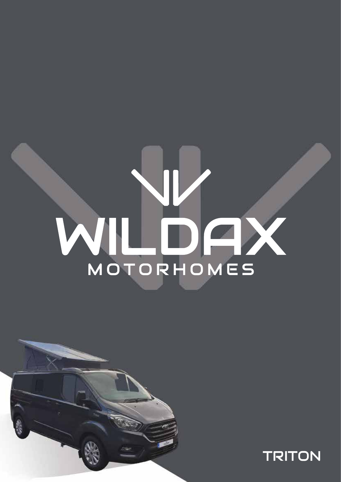# WIL DAY



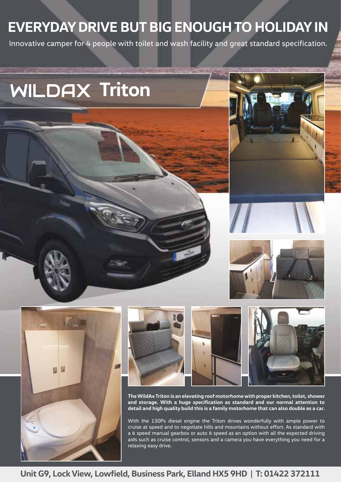## **EVERYDAY DRIVE BUT BIG ENOUGH TO HOLIDAY IN**

Innovative camper for 4 people with toilet and wash facility and great standard specification.

# **WILDAX Triton**











**The WildAx Triton is an elevating roof motorhome with proper kitchen, toilet, shower and storage. With a huge specification as standard and our normal attention to detail and high quality build this is a family motorhome that can also double as a car.**

With the 130Ps diesel engine the Triton drives wonderfully with ample power to cruise at speed and to negotiate hills and mountains without effort. As standard with a 6 speed manual gearbox or auto 6 speed as an option with all the expected driving aids such as cruise control, sensors and a camera you have everything you need for a relaxing easy drive.

### Unit G9, Lock View, Lowfield, Business Park, Elland HX5 9HD | T: 01422 372111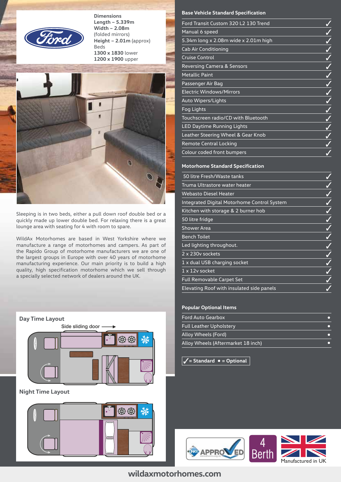

**Dimensions Length – 5.339m Width – 2.08m** (folded mirrors) **Height – 2.01m** (approx) Beds **1300 x 1830** lower **1200 x 1900** upper



Sleeping is in two beds, either a pull down roof double bed or a quickly made up lower double bed. For relaxing there is a great lounge area with seating for 4 with room to spare.

WildAx Motorhomes are based in West Yorkshire where we manufacture a range of motorhomes and campers. As part of the Rapido Group of motorhome manufacturers we are one of the largest groups in Europe with over 40 years of motorhome manufacturing experience. Our main priority is to build a high quality, high specification motorhome which we sell through a specially selected network of dealers around the UK.





### **Base Vehicle Standard Specification**

### **Motorhome Standard Specification**

| 50 litre Fresh/Waste tanks                  |  |
|---------------------------------------------|--|
| Truma Ultrastore water heater               |  |
| <b>Webasto Diesel Heater</b>                |  |
| Integrated Digital Motorhome Control System |  |
| Kitchen with storage & 2 burner hob         |  |
| 50 litre fridge                             |  |
| Shower Area                                 |  |
| <b>Bench Toilet</b>                         |  |
| Led lighting throughout.                    |  |
| 2 x 230y sockets                            |  |
| 1 x dual USB charging socket                |  |
| 1 x 12v socket                              |  |
| Full Removable Carpet Set                   |  |
| Elevating Roof with insulated side panels   |  |

### **Popular Optional Items**

| Ford Auto Gearbox                  |  |
|------------------------------------|--|
| <b>Full Leather Upholstery</b>     |  |
| Alloy Wheels (Ford)                |  |
| Alloy Wheels (Aftermarket 18 inch) |  |

 $\checkmark$  = Standard  $\bullet$  = Optional



### **Unit G9, Lock View, Lowfield, Business Park, Elland HX5 9HD | T: 01422 372111 wildaxmotorhomes.com**